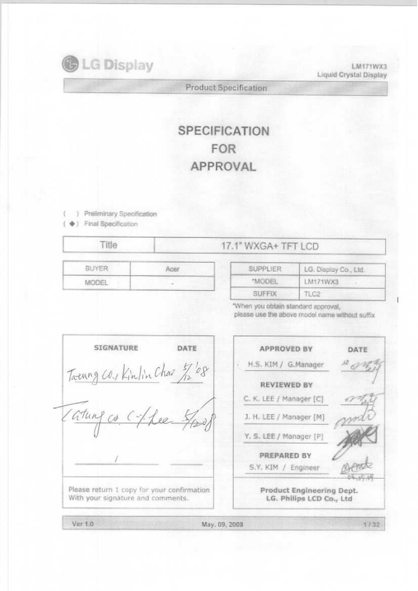

LM171WX3 Liquid Crystal Display

**Product Specification** 

# **SPECIFICATION FOR** APPROVAL

- ) Preliminary Specification
- +) Final Specification

| ⋼ |                                    |
|---|------------------------------------|
|   | and consideration and construction |

# 17.1" WXGA+ TFT LCD

| <b>SUPPLIER</b> | LG. Display Co., Ltd. |
|-----------------|-----------------------|
| "MODEL          | LM171WX3              |
| <b>SUFFIX</b>   | TC2                   |

"When you obtain standard approval, please use the above model name without suffix

SIGNATURE DATE **APPROVED BY** DATE Troung Co., Kinlin Chas 7, 08 H.S. KIM / G.Manager **REVIEWED BY** C. K. LEE / Manager [C] J. H. LEE / Manager [M] Y. S. LEE / Manager [P] PREPARED BY S.Y. KIM / Engineer Please return 1 copy for your confirmation Product Engineering Dept. With your signature and comments. LG. Philips LCD Co., Ltd Ver 1.0 May. 09, 2008  $1/32$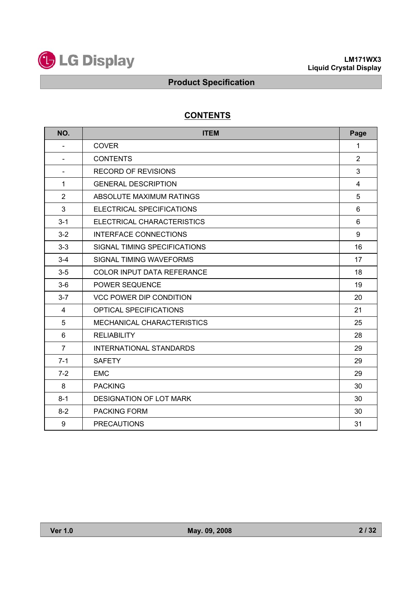

# **CONTENTS**

| NO.                      | <b>ITEM</b>                       |                |  |  |  |
|--------------------------|-----------------------------------|----------------|--|--|--|
| $\overline{\phantom{a}}$ | <b>COVER</b>                      | 1              |  |  |  |
| $\blacksquare$           | <b>CONTENTS</b>                   | 2              |  |  |  |
| $\blacksquare$           | <b>RECORD OF REVISIONS</b>        | 3              |  |  |  |
| $\mathbf{1}$             | <b>GENERAL DESCRIPTION</b>        | $\overline{4}$ |  |  |  |
| $\overline{2}$           | ABSOLUTE MAXIMUM RATINGS          | 5              |  |  |  |
| 3                        | ELECTRICAL SPECIFICATIONS         | 6              |  |  |  |
| $3 - 1$                  | ELECTRICAL CHARACTERISTICS        | 6              |  |  |  |
| $3 - 2$                  | <b>INTERFACE CONNECTIONS</b>      | 9              |  |  |  |
| $3 - 3$                  | SIGNAL TIMING SPECIFICATIONS      | 16             |  |  |  |
| $3 - 4$                  | SIGNAL TIMING WAVEFORMS           | 17             |  |  |  |
| $3 - 5$                  | <b>COLOR INPUT DATA REFERANCE</b> | 18             |  |  |  |
| $3-6$                    | POWER SEQUENCE                    | 19             |  |  |  |
| $3 - 7$                  | <b>VCC POWER DIP CONDITION</b>    | 20             |  |  |  |
| $\overline{4}$           | <b>OPTICAL SPECIFICATIONS</b>     | 21             |  |  |  |
| 5                        | MECHANICAL CHARACTERISTICS        | 25             |  |  |  |
| 6                        | <b>RELIABILITY</b>                | 28             |  |  |  |
| $\overline{7}$           | <b>INTERNATIONAL STANDARDS</b>    | 29             |  |  |  |
| $7 - 1$                  | <b>SAFETY</b>                     | 29             |  |  |  |
| $7-2$                    | <b>EMC</b>                        | 29             |  |  |  |
| 8                        | <b>PACKING</b>                    | 30             |  |  |  |
| $8 - 1$                  | <b>DESIGNATION OF LOT MARK</b>    | 30             |  |  |  |
| $8 - 2$                  | <b>PACKING FORM</b>               | 30             |  |  |  |
| 9                        | <b>PRECAUTIONS</b>                | 31             |  |  |  |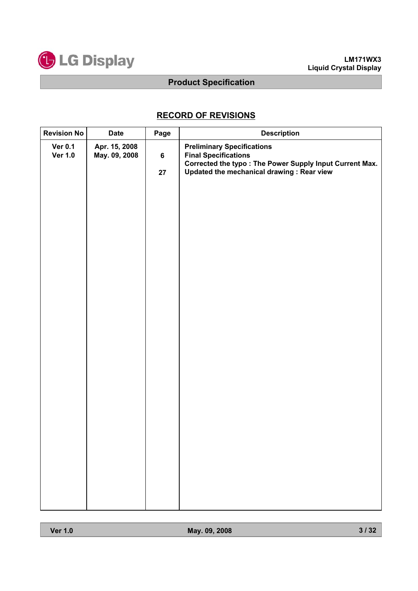

# **RECORD OF REVISIONS**

| Revision No                      | <b>Date</b>                    | Page          | <b>Description</b>                                                                                                                                                        |
|----------------------------------|--------------------------------|---------------|---------------------------------------------------------------------------------------------------------------------------------------------------------------------------|
| <b>Ver 0.1</b><br><b>Ver 1.0</b> | Apr. 15, 2008<br>May. 09, 2008 | $\bf 6$<br>27 | <b>Preliminary Specifications</b><br><b>Final Specifications</b><br>Corrected the typo: The Power Supply Input Current Max.<br>Updated the mechanical drawing : Rear view |
|                                  |                                |               |                                                                                                                                                                           |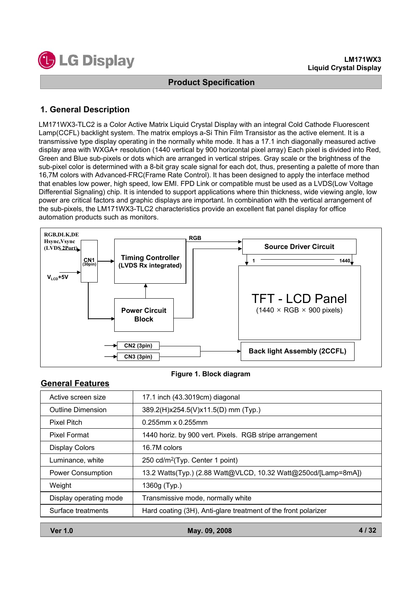

# **1. General Description**

LM171WX3-TLC2 is a Color Active Matrix Liquid Crystal Display with an integral Cold Cathode Fluorescent Lamp(CCFL) backlight system. The matrix employs a-Si Thin Film Transistor as the active element. It is a transmissive type display operating in the normally white mode. It has a 17.1 inch diagonally measured active display area with WXGA+ resolution (1440 vertical by 900 horizontal pixel array) Each pixel is divided into Red, Green and Blue sub-pixels or dots which are arranged in vertical stripes. Gray scale or the brightness of the sub-pixel color is determined with a 8-bit gray scale signal for each dot, thus, presenting a palette of more than 16,7M colors with Advanced-FRC(Frame Rate Control). It has been designed to apply the interface method that enables low power, high speed, low EMI. FPD Link or compatible must be used as a LVDS(Low Voltage Differential Signaling) chip. It is intended to support applications where thin thickness, wide viewing angle, low power are critical factors and graphic displays are important. In combination with the vertical arrangement of the sub-pixels, the LM171WX3-TLC2 characteristics provide an excellent flat panel display for office automation products such as monitors.



### **Figure 1. Block diagram**

## **General Features**

| Active screen size       | 17.1 inch (43.3019cm) diagonal                                 |
|--------------------------|----------------------------------------------------------------|
| <b>Outline Dimension</b> | 389.2(H)x254.5(V)x11.5(D) mm (Typ.)                            |
| <b>Pixel Pitch</b>       | $0.255$ mm x $0.255$ mm                                        |
| <b>Pixel Format</b>      | 1440 horiz. by 900 vert. Pixels. RGB stripe arrangement        |
| <b>Display Colors</b>    | 16.7M colors                                                   |
| Luminance, white         | 250 cd/m <sup>2</sup> (Typ. Center 1 point)                    |
| Power Consumption        | 13.2 Watts(Typ.) (2.88 Watt@VLCD, 10.32 Watt@250cd/[Lamp=8mA]) |
| Weight                   | 1360g (Typ.)                                                   |
| Display operating mode   | Transmissive mode, normally white                              |
| Surface treatments       | Hard coating (3H), Anti-glare treatment of the front polarizer |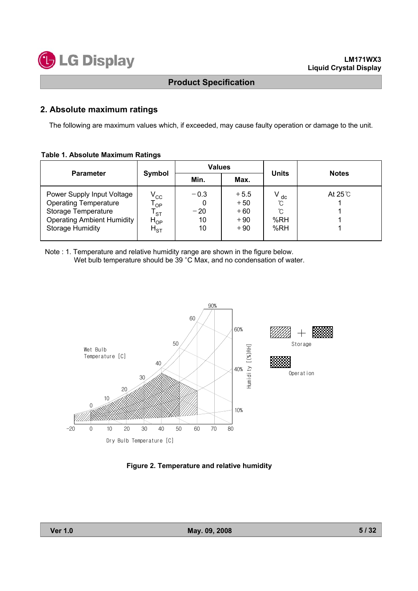

### **2. Absolute maximum ratings**

The following are maximum values which, if exceeded, may cause faulty operation or damage to the unit.

#### **Table 1. Absolute Maximum Ratings**

| <b>Parameter</b>                                                                                                                                  |                                                             | <b>Values</b>               |                                            | <b>Units</b>                       | <b>Notes</b>    |  |
|---------------------------------------------------------------------------------------------------------------------------------------------------|-------------------------------------------------------------|-----------------------------|--------------------------------------------|------------------------------------|-----------------|--|
|                                                                                                                                                   | Symbol                                                      | Min.                        | Max.                                       |                                    |                 |  |
| Power Supply Input Voltage<br><b>Operating Temperature</b><br>Storage Temperature<br><b>Operating Ambient Humidity</b><br><b>Storage Humidity</b> | $\rm V_{\rm CC}$<br>OP<br><b>ST</b><br>$H_{OP}$<br>$H_{ST}$ | $-0.3$<br>$-20$<br>10<br>10 | $+5.5$<br>$+50$<br>$+60$<br>$+90$<br>$+90$ | $V_{dc}$<br>ົໂ<br>ົົ<br>%RH<br>%RH | At $25^\circ$ C |  |

Note : 1. Temperature and relative humidity range are shown in the figure below. Wet bulb temperature should be 39 °C Max, and no condensation of water.



**Figure 2. Temperature and relative humidity**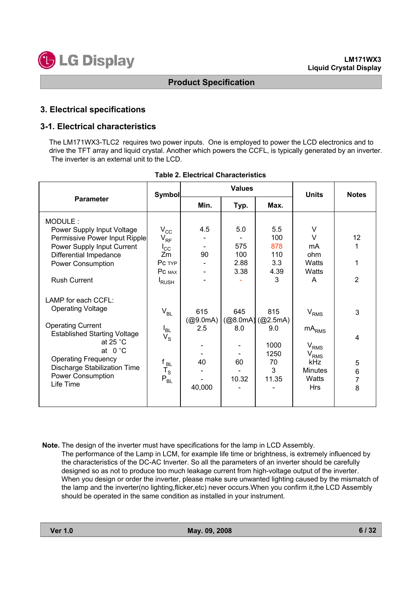## **3. Electrical specifications**

### **3-1. Electrical characteristics**

The LM171WX3-TLC2 requires two power inputs. One is employed to power the LCD electronics and to drive the TFT array and liquid crystal. Another which powers the CCFL, is typically generated by an inverter. The inverter is an external unit to the LCD.

|                                                                                                                                                                                                                                                                     | <b>Symbol</b>                                                                                                   |                                        | <b>Values</b>                     | <b>Units</b>                                                       | <b>Notes</b>                                                                                                 |                            |
|---------------------------------------------------------------------------------------------------------------------------------------------------------------------------------------------------------------------------------------------------------------------|-----------------------------------------------------------------------------------------------------------------|----------------------------------------|-----------------------------------|--------------------------------------------------------------------|--------------------------------------------------------------------------------------------------------------|----------------------------|
| <b>Parameter</b>                                                                                                                                                                                                                                                    |                                                                                                                 | Min.                                   | Typ.                              | Max.                                                               |                                                                                                              |                            |
| MODULE:<br>Power Supply Input Voltage<br>Permissive Power Input Ripple<br>Power Supply Input Current<br>Differential Impedance<br><b>Power Consumption</b><br><b>Rush Current</b>                                                                                   | $\rm V_{CC}$<br>$V_{RF}$<br>$I_{\rm CC}$<br>Zm<br>Pc TYP<br>PC MAX<br><sup>I</sup> RUSH                         | 4.5<br>90                              | 5.0<br>575<br>100<br>2.88<br>3.38 | 5.5<br>100<br>878<br>110<br>3.3<br>4.39<br>3                       | V<br>V<br>mA<br>ohm<br>Watts<br>Watts<br>A                                                                   | 12<br>1<br>$\overline{2}$  |
| LAMP for each CCFL:<br><b>Operating Voltage</b><br><b>Operating Current</b><br><b>Established Starting Voltage</b><br>at 25 $^{\circ}$ C<br>at $0^{\circ}$ C<br><b>Operating Frequency</b><br>Discharge Stabilization Time<br><b>Power Consumption</b><br>Life Time | $V_{BL}$<br>$I_{BL}$<br>$V_{\rm S}$<br>t <sub>BL</sub><br>$\mathsf{T}_\mathsf{S}$<br>$\mathsf{P}_{\mathsf{BL}}$ | 615<br>(@9.0mA)<br>2.5<br>40<br>40,000 | 645<br>8.0<br>60<br>10.32         | 815<br>(Q8.0mA)(Q2.5mA)<br>9.0<br>1000<br>1250<br>70<br>3<br>11.35 | $V_{RMS}$<br>$mA_{RMS}$<br>$V_{RMS}$<br>$V_{\rm RMS}$<br><b>kHz</b><br><b>Minutes</b><br>Watts<br><b>Hrs</b> | 3<br>4<br>5<br>6<br>7<br>8 |

|  |  | <b>Table 2. Electrical Characteristics</b> |
|--|--|--------------------------------------------|
|--|--|--------------------------------------------|

**Note.** The design of the inverter must have specifications for the lamp in LCD Assembly. The performance of the Lamp in LCM, for example life time or brightness, is extremely influenced by the characteristics of the DC-AC Inverter. So all the parameters of an inverter should be carefully designed so as not to produce too much leakage current from high-voltage output of the inverter. When you design or order the inverter, please make sure unwanted lighting caused by the mismatch of the lamp and the inverter(no lighting,flicker,etc) never occurs.When you confirm it,the LCD Assembly should be operated in the same condition as installed in your instrument.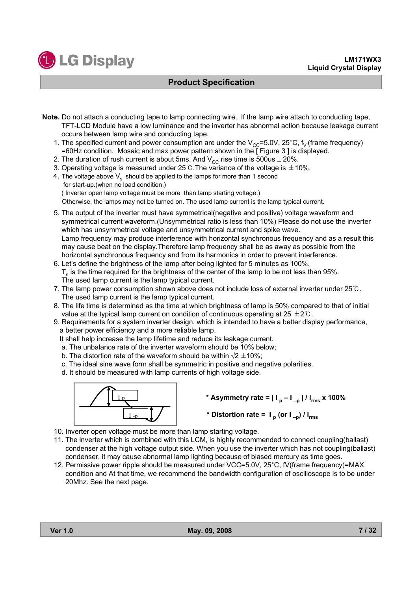- **Note.** Do not attach a conducting tape to lamp connecting wire. If the lamp wire attach to conducting tape, TFT-LCD Module have a low luminance and the inverter has abnormal action because leakage current occurs between lamp wire and conducting tape.
	- 1. The specified current and power consumption are under the  $V_{CC}=5.0V$ , 25°C, f<sub>V</sub> (frame frequency) =60Hz condition. Mosaic and max power pattern shown in the [ Figure 3 ] is displayed.
	- 2. The duration of rush current is about 5ms. And  $V_{CC}$  rise time is 500us  $\pm$  20%.
	- 3. Operating voltage is measured under 25°C. The variance of the voltage is  $\pm$  10%.
	- 4. The voltage above  $V_s$  should be applied to the lamps for more than 1 second for start-up.(when no load condition.) ( Inverter open lamp voltage must be more than lamp starting voltage.) Otherwise, the lamps may not be turned on. The used lamp current is the lamp typical current.
	- 5. The output of the inverter must have symmetrical(negative and positive) voltage waveform and symmetrical current waveform.(Unsymmetrical ratio is less than 10%) Please do not use the inverter which has unsymmetrical voltage and unsymmetrical current and spike wave. Lamp frequency may produce interference with horizontal synchronous frequency and as a result this may cause beat on the display.Therefore lamp frequency shall be as away as possible from the horizontal synchronous frequency and from its harmonics in order to prevent interference.
	- 6. Let's define the brightness of the lamp after being lighted for 5 minutes as 100%.  $T<sub>s</sub>$  is the time required for the brightness of the center of the lamp to be not less than 95%. The used lamp current is the lamp typical current.
	- 7. The lamp power consumption shown above does not include loss of external inverter under  $25^{\circ}$ . The used lamp current is the lamp typical current.
	- 8. The life time is determined as the time at which brightness of lamp is 50% compared to that of initial value at the typical lamp current on condition of continuous operating at 25  $\pm$  2°C.
	- 9. Requirements for a system inverter design, which is intended to have a better display performance, a better power efficiency and a more reliable lamp.

It shall help increase the lamp lifetime and reduce its leakage current.

- a. The unbalance rate of the inverter waveform should be 10% below;
- b. The distortion rate of the waveform should be within  $\sqrt{2} \pm 10\%$ .
- c. The ideal sine wave form shall be symmetric in positive and negative polarities.
- d. It should be measured with lamp currents of high voltage side.



- \* Asymmetry rate =  $| I_p I_{-p} | / I_{rms}$  x 100%
- \* Distortion rate =  $I_p$  (or  $I_p$ ) /  $I_{rms}$
- 10. Inverter open voltage must be more than lamp starting voltage.
- 11. The inverter which is combined with this LCM, is highly recommended to connect coupling(ballast) condenser at the high voltage output side. When you use the inverter which has not coupling(ballast) condenser, it may cause abnormal lamp lighting because of biased mercury as time goes.
- 12. Permissive power ripple should be measured under VCC=5.0V, 25°C, fV(frame frequency)=MAX condition and At that time, we recommend the bandwidth configuration of oscilloscope is to be under 20Mhz. See the next page.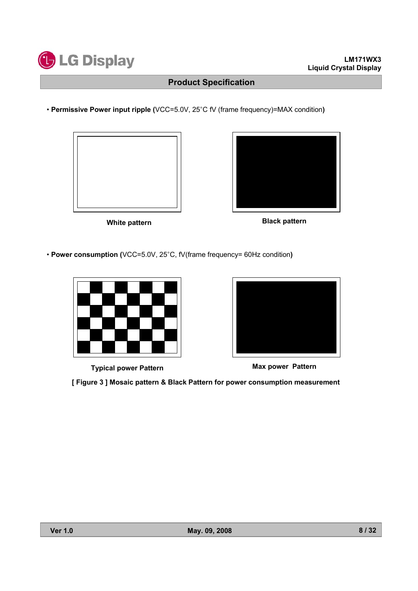

• **Permissive Power input ripple (**VCC=5.0V, 25°C fV (frame frequency)=MAX condition)



**White pattern Black pattern** 

• **Power consumption (**VCC=5.0V, 25°C, fV(frame frequency= 60Hz condition)



**Typical power Pattern Max power Pattern**





**[ Figure 3 ] Mosaic pattern & Black Pattern for power consumption measurement**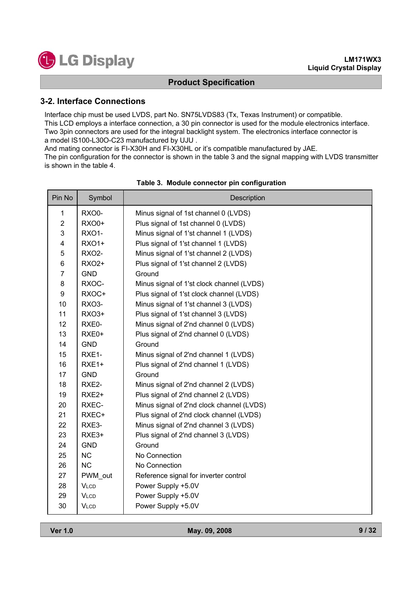### **3-2. Interface Connections**

Interface chip must be used LVDS, part No. SN75LVDS83 (Tx, Texas Instrument) or compatible. This LCD employs a interface connection, a 30 pin connector is used for the module electronics interface. Two 3pin connectors are used for the integral backlight system. The electronics interface connector is a model IS100-L30O-C23 manufactured by UJU .

And mating connector is FI-X30H and FI-X30HL or it's compatible manufactured by JAE.

The pin configuration for the connector is shown in the table 3 and the signal mapping with LVDS transmitter is shown in the table 4.

| Pin No                    | Symbol            | Description                               |
|---------------------------|-------------------|-------------------------------------------|
| $\mathbf{1}$              | <b>RXO0-</b>      | Minus signal of 1st channel 0 (LVDS)      |
| $\overline{c}$            | <b>RXO0+</b>      | Plus signal of 1st channel 0 (LVDS)       |
| $\ensuremath{\mathsf{3}}$ | <b>RXO1-</b>      | Minus signal of 1'st channel 1 (LVDS)     |
| 4                         | <b>RXO1+</b>      | Plus signal of 1'st channel 1 (LVDS)      |
| 5                         | <b>RXO2-</b>      | Minus signal of 1'st channel 2 (LVDS)     |
| 6                         | <b>RXO2+</b>      | Plus signal of 1'st channel 2 (LVDS)      |
| $\overline{7}$            | <b>GND</b>        | Ground                                    |
| 8                         | RXOC-             | Minus signal of 1'st clock channel (LVDS) |
| 9                         | RXOC+             | Plus signal of 1'st clock channel (LVDS)  |
| 10                        | <b>RXO3-</b>      | Minus signal of 1'st channel 3 (LVDS)     |
| 11                        | RXO3+             | Plus signal of 1'st channel 3 (LVDS)      |
| 12                        | RXE0-             | Minus signal of 2'nd channel 0 (LVDS)     |
| 13                        | RXE0+             | Plus signal of 2'nd channel 0 (LVDS)      |
| 14                        | <b>GND</b>        | Ground                                    |
| 15                        | RXE1-             | Minus signal of 2'nd channel 1 (LVDS)     |
| 16                        | RXE1+             | Plus signal of 2'nd channel 1 (LVDS)      |
| 17                        | <b>GND</b>        | Ground                                    |
| 18                        | RXE2-             | Minus signal of 2'nd channel 2 (LVDS)     |
| 19                        | RXE <sub>2+</sub> | Plus signal of 2'nd channel 2 (LVDS)      |
| 20                        | RXEC-             | Minus signal of 2'nd clock channel (LVDS) |
| 21                        | RXEC+             | Plus signal of 2'nd clock channel (LVDS)  |
| 22                        | RXE3-             | Minus signal of 2'nd channel 3 (LVDS)     |
| 23                        | RXE3+             | Plus signal of 2'nd channel 3 (LVDS)      |
| 24                        | <b>GND</b>        | Ground                                    |
| 25                        | <b>NC</b>         | No Connection                             |
| 26                        | <b>NC</b>         | No Connection                             |
| 27                        | PWM out           | Reference signal for inverter control     |
| 28                        | <b>VLCD</b>       | Power Supply +5.0V                        |
| 29                        | <b>VLCD</b>       | Power Supply +5.0V                        |
| 30                        | <b>VLCD</b>       | Power Supply +5.0V                        |

### **Table 3. Module connector pin configuration**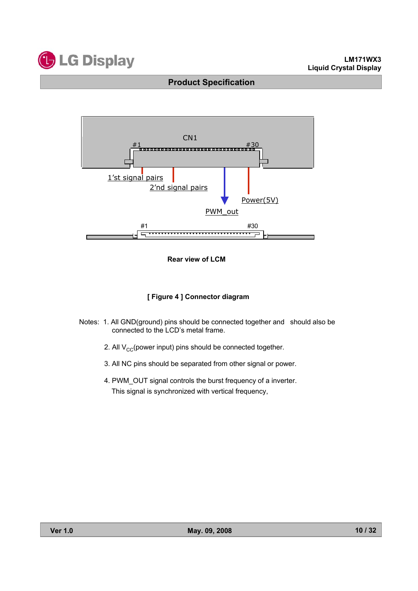





### **[ Figure 4 ] Connector diagram**

- Notes: 1. All GND(ground) pins should be connected together and should also be connected to the LCD's metal frame.
	- 2. All  $V_{CC}$ (power input) pins should be connected together.
	- 3. All NC pins should be separated from other signal or power.
	- 4. PWM\_OUT signal controls the burst frequency of a inverter. This signal is synchronized with vertical frequency,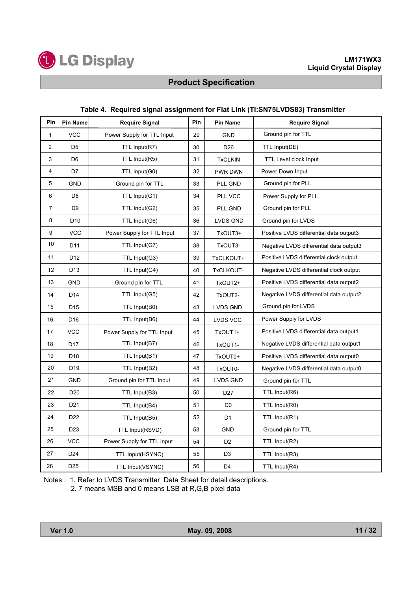

### **Table 4. Required signal assignment for Flat Link (TI:SN75LVDS83) Transmitter**

| Pin            | <b>Pin Name</b> | <b>Require Signal</b>      | Pin | <b>Pin Name</b> | <b>Require Signal</b>                   |
|----------------|-----------------|----------------------------|-----|-----------------|-----------------------------------------|
| 1              | <b>VCC</b>      | Power Supply for TTL Input | 29  | <b>GND</b>      | Ground pin for TTL                      |
| $\overline{2}$ | D <sub>5</sub>  | TTL Input(R7)              | 30  | D <sub>26</sub> | TTL Input(DE)                           |
| 3              | D <sub>6</sub>  | TTL Input(R5)              | 31  | <b>TxCLKIN</b>  | <b>TTL Level clock Input</b>            |
| 4              | D7              | TTL Input(G0)              | 32  | PWR DWN         | Power Down Input                        |
| 5              | <b>GND</b>      | Ground pin for TTL         | 33  | PLL GND         | Ground pin for PLL                      |
| 6              | D <sub>8</sub>  | TTL Input(G1)              | 34  | PLL VCC         | Power Supply for PLL                    |
| $\overline{7}$ | D <sub>9</sub>  | TTL Input(G2)              | 35  | PLL GND         | Ground pin for PLL                      |
| 8              | D <sub>10</sub> | TTL Input(G6)              | 36  | LVDS GND        | Ground pin for LVDS                     |
| 9              | <b>VCC</b>      | Power Supply for TTL Input | 37  | TxOUT3+         | Positive LVDS differential data output3 |
| 10             | D11             | TTL Input(G7)              | 38  | TxOUT3-         | Negative LVDS differential data output3 |
| 11             | D12             | TTL Input(G3)              | 39  | TxCLKOUT+       | Positive LVDS differential clock output |
| 12             | D <sub>13</sub> | TTL Input(G4)              | 40  | TxCLKOUT-       | Negative LVDS differential clock output |
| 13             | <b>GND</b>      | Ground pin for TTL         | 41  | TxOUT2+         | Positive LVDS differential data output2 |
| 14             | D <sub>14</sub> | TTL Input(G5)              | 42  | TxOUT2-         | Negative LVDS differential data output2 |
| 15             | D <sub>15</sub> | TTL Input(B0)              | 43  | LVDS GND        | Ground pin for LVDS                     |
| 16             | D <sub>16</sub> | TTL Input(B6)              | 44  | <b>LVDS VCC</b> | Power Supply for LVDS                   |
| 17             | <b>VCC</b>      | Power Supply for TTL Input | 45  | TxOUT1+         | Positive LVDS differential data output1 |
| 18             | D17             | TTL Input(B7)              | 46  | TxOUT1-         | Negative LVDS differential data output1 |
| 19             | D <sub>18</sub> | TTL Input(B1)              | 47  | TxOUT0+         | Positive LVDS differential data output0 |
| 20             | D <sub>19</sub> | TTL Input(B2)              | 48  | TxOUT0-         | Negative LVDS differential data output0 |
| 21             | <b>GND</b>      | Ground pin for TTL Input   | 49  | LVDS GND        | Ground pin for TTL                      |
| 22             | D <sub>20</sub> | TTL Input(B3)              | 50  | D <sub>27</sub> | TTL Input(R6)                           |
| 23             | D <sub>21</sub> | TTL Input(B4)              | 51  | D <sub>0</sub>  | TTL Input(R0)                           |
| 24             | D <sub>22</sub> | TTL Input(B5)              | 52  | D <sub>1</sub>  | TTL Input(R1)                           |
| 25             | D <sub>23</sub> | TTL Input(RSVD)            | 53  | <b>GND</b>      | Ground pin for TTL                      |
| 26             | <b>VCC</b>      | Power Supply for TTL Input | 54  | D <sub>2</sub>  | TTL Input(R2)                           |
| 27             | D <sub>24</sub> | TTL Input(HSYNC)           | 55  | D <sub>3</sub>  | TTL Input(R3)                           |
| 28             | D <sub>25</sub> | TTL Input(VSYNC)           | 56  | D <sub>4</sub>  | TTL Input(R4)                           |

Notes : 1. Refer to LVDS Transmitter Data Sheet for detail descriptions.

2. 7 means MSB and 0 means LSB at R,G,B pixel data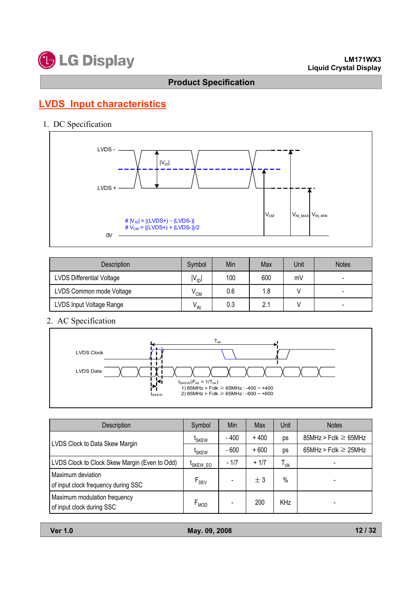

# **LVDS Input characteristics**

## 1. DC Specification



| <b>Description</b>               | Symbol                     | Min | Max | Unit | <b>Notes</b> |
|----------------------------------|----------------------------|-----|-----|------|--------------|
| <b>LVDS Differential Voltage</b> | $IV_{ID}$                  | 100 | 600 | mV   |              |
| LVDS Common mode Voltage         | $\mathsf{V}_{\mathsf{CM}}$ | 0.6 | 1.8 |      |              |
| LVDS Input Voltage Range         | $V_{\text{IN}}$            | 0.3 | 2.1 |      |              |

## 2. AC Specification



| <b>Description</b>                                        | Symbol               | Min    | Max    | Unit                        | <b>Notes</b>              |
|-----------------------------------------------------------|----------------------|--------|--------|-----------------------------|---------------------------|
| LVDS Clock to Data Skew Margin                            | <sup>L</sup> SKEW    | - 400  | $+400$ | ps                          | $85MHz > Fclk \ge 65MHz$  |
|                                                           | <sup>L</sup> SKEW    | $-600$ | $+600$ | ps                          | $65MHz > Fclk \geq 25MHz$ |
| LVDS Clock to Clock Skew Margin (Even to Odd)             | <sup>L</sup> SKEW EO | $-1/7$ | $+1/7$ | $\mathsf{T}_{\mathsf{clk}}$ |                           |
| Maximum deviation<br>of input clock frequency during SSC  | $F_{DEV}$            |        | ± 3    | $\%$                        |                           |
| Maximum modulation frequency<br>of input clock during SSC | $F_{MOD}$            |        | 200    | <b>KHz</b>                  |                           |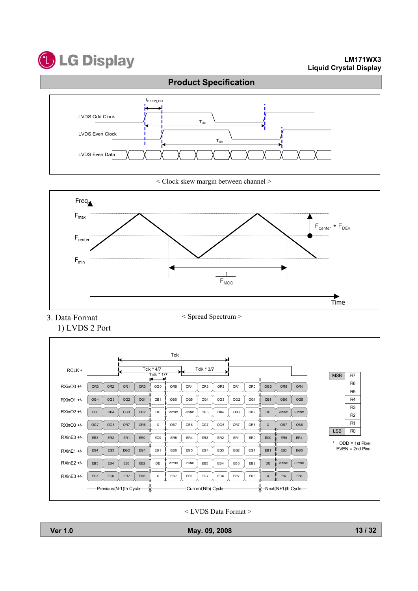



< Clock skew margin between channel >



< Spread Spectrum >

3. Data Format 1) LVDS 2 Port



< LVDS Data Format >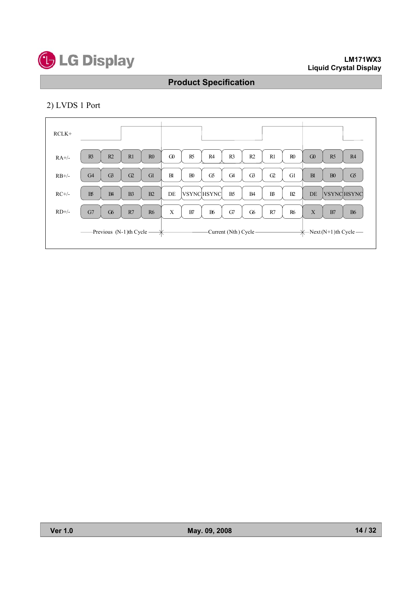

## 2) LVDS 1 Port

| $RCLK+$             |                                                     |                                                                                                          |
|---------------------|-----------------------------------------------------|----------------------------------------------------------------------------------------------------------|
| $RA+/$              | R3<br>R2<br>R1<br>R <sub>0</sub>                    | $\Omega$<br>R3<br>R2<br>R <sub>0</sub><br>R <sub>5</sub><br>R4<br>R1<br>$\Omega$<br>R <sub>5</sub><br>R4 |
| $RB+/$              | G <sub>4</sub><br>G <sup>3</sup><br>G2<br>Gl        | B1<br>B <sub>0</sub><br>G5<br>G <sub>4</sub><br>G3<br>G1<br>B1<br>G5<br>$\Omega$<br>B <sub>0</sub>       |
| $RC+/-$             | $B\delta$<br>B2<br>B <sub>4</sub><br>B <sub>3</sub> | B <sub>5</sub><br>B2<br>DE<br><b>VSYNCHSYNC</b><br>B <sub>4</sub><br>$B^2$<br>DE<br><b>VSYNCHSYNC</b>    |
| $RD$ <sup>+/-</sup> | G7<br>G6<br>R7<br><b>R6</b>                         | X<br>B6<br>G7<br>G6<br><b>R6</b><br>X<br>B7<br>R7<br>B7<br><b>B6</b>                                     |
|                     | $\overline{\phantom{a}}$ -Previous (N-1)th Cycle –  | -Current (Nth) Cycle -<br>$\overline{\mathcal{H}}$ Next (N+1)th Cycle —                                  |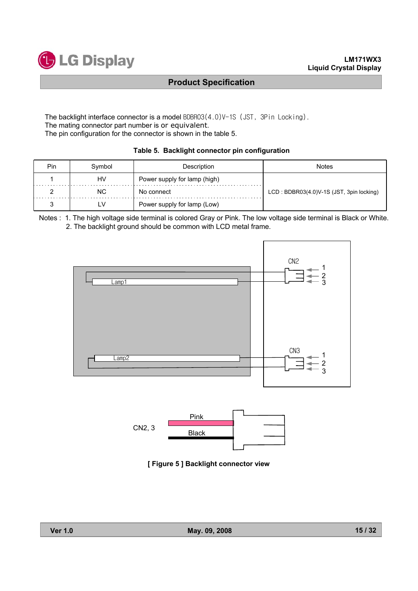

The backlight interface connector is a model  $BDBRO3(4.0)V-1S$  (JST, 3Pin Locking). The mating connector part number is or equivalent. The pin configuration for the connector is shown in the table 5.

| Table 5. Backlight connector pin configuration |  |  |  |  |  |  |
|------------------------------------------------|--|--|--|--|--|--|
|------------------------------------------------|--|--|--|--|--|--|

| <b>Pin</b> | Symbol    | Description                  | Notes                                    |
|------------|-----------|------------------------------|------------------------------------------|
|            | HV        | Power supply for lamp (high) |                                          |
|            | <b>NC</b> | No connect                   | LCD: BDBR03(4.0)V-1S (JST, 3pin locking) |
|            | ∟۷        | Power supply for lamp (Low)  |                                          |

Notes : 1. The high voltage side terminal is colored Gray or Pink. The low voltage side terminal is Black or White. 2. The backlight ground should be common with LCD metal frame.





**[ Figure 5 ] Backlight connector view**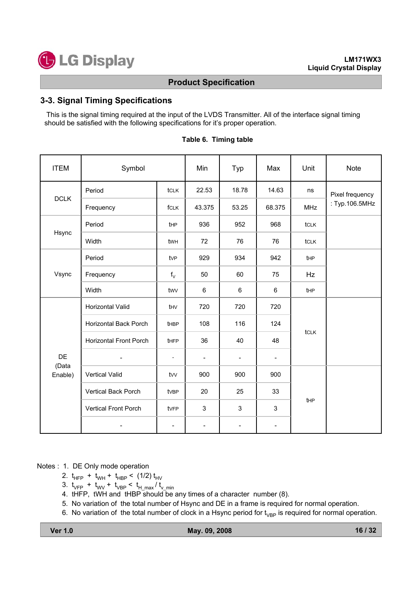## **3-3. Signal Timing Specifications**

This is the signal timing required at the input of the LVDS Transmitter. All of the interface signal timing should be satisfied with the following specifications for it's proper operation.

| <b>ITEM</b>            | Symbol                        |                          | Min                      | Typ                      | Max                      | Unit       | <b>Note</b>     |
|------------------------|-------------------------------|--------------------------|--------------------------|--------------------------|--------------------------|------------|-----------------|
|                        | Period                        | tclk                     | 22.53                    | 18.78                    | 14.63                    | ns         | Pixel frequency |
| <b>DCLK</b>            | Frequency                     | fCLK                     | 43.375                   | 53.25                    | 68.375                   | <b>MHz</b> | : Typ.106.5MHz  |
|                        | Period                        | tHP                      | 936                      | 952                      | 968                      | tclk       |                 |
| Hsync                  | Width                         | twh                      | 72                       | 76                       | 76                       | tclk       |                 |
|                        | Period                        | tvP                      | 929                      | 934                      | 942                      | tHP        |                 |
| Vsync                  | Frequency                     | $f_V$                    | 50                       | 60                       | 75                       | Hz         |                 |
|                        | Width                         | twy                      | 6                        | 6                        | 6                        | tHP        |                 |
|                        | Horizontal Valid              | thv                      | 720                      | 720                      | 720                      |            |                 |
|                        | <b>Horizontal Back Porch</b>  | tHBP                     | 108                      | 116                      | 124                      |            |                 |
|                        | <b>Horizontal Front Porch</b> | <b>tHFP</b>              | 36                       | 40                       | 48                       | tcLK       |                 |
| DE<br>(Data<br>Enable) |                               | ÷,                       |                          | $\overline{\phantom{a}}$ | $\overline{\phantom{0}}$ |            |                 |
|                        | Vertical Valid                | tvv                      | 900                      | 900                      | 900                      |            |                 |
|                        | <b>Vertical Back Porch</b>    | tvBP                     | 20                       | 25                       | 33                       |            |                 |
|                        | Vertical Front Porch          | tvFP                     | 3                        | 3                        | 3                        | tHP        |                 |
|                        |                               | $\overline{\phantom{a}}$ | $\overline{\phantom{a}}$ |                          | -                        |            |                 |

### **Table 6. Timing table**

Notes : 1. DE Only mode operation

- 2.  $t_{HFP}$  +  $t_{WH}$  +  $t_{HBP}$  < (1/2)  $t_{HV}$
- 3.  $t_{VFP}$  +  $t_{WV}$  +  $t_{VBP}$  <  $t_{H,max}/t_{V,min}$
- 4. tHFP, tWH and tHBP should be any times of a character number (8).
- 5. No variation of the total number of Hsync and DE in a frame is required for normal operation.
- 6. No variation of the total number of clock in a Hsync period for  $t_{VBP}$  is required for normal operation.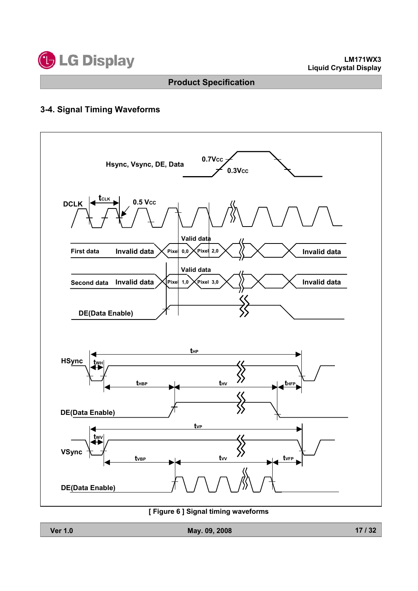

## **3-4. Signal Timing Waveforms**



### **[ Figure 6 ] Signal timing waveforms**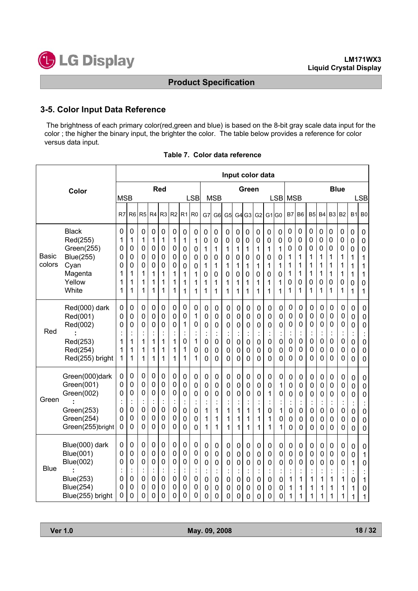

### **3-5. Color Input Data Reference**

The brightness of each primary color(red,green and blue) is based on the 8-bit gray scale data input for the color ; the higher the binary input, the brighter the color. The table below provides a reference for color versus data input.

|                        |                                                                                                                    |                                                |                                                                          |                                                        |                                                        |                                                                  |                                              |                                                                               |                                      |                                                    |                                                                |                                      |                                                            |                                                                                      |                                                          | Input color data                                   |                                                    |                                                                  |                                                                                      |                                                                            |                                      |                                                                                      |                                                        |                                              |                                                                            |
|------------------------|--------------------------------------------------------------------------------------------------------------------|------------------------------------------------|--------------------------------------------------------------------------|--------------------------------------------------------|--------------------------------------------------------|------------------------------------------------------------------|----------------------------------------------|-------------------------------------------------------------------------------|--------------------------------------|----------------------------------------------------|----------------------------------------------------------------|--------------------------------------|------------------------------------------------------------|--------------------------------------------------------------------------------------|----------------------------------------------------------|----------------------------------------------------|----------------------------------------------------|------------------------------------------------------------------|--------------------------------------------------------------------------------------|----------------------------------------------------------------------------|--------------------------------------|--------------------------------------------------------------------------------------|--------------------------------------------------------|----------------------------------------------|----------------------------------------------------------------------------|
| Color                  |                                                                                                                    | <b>MSB</b>                                     |                                                                          |                                                        |                                                        | Red                                                              |                                              |                                                                               | <b>LSB</b>                           |                                                    | <b>MSB</b>                                                     |                                      |                                                            | Green                                                                                |                                                          |                                                    | <b>LSB</b>                                         | <b>MSB</b>                                                       |                                                                                      |                                                                            |                                      |                                                                                      | <b>Blue</b>                                            |                                              | <b>LSB</b>                                                                 |
|                        |                                                                                                                    | R7                                             | R <sub>6</sub>                                                           | R <sub>5</sub>                                         | R <sub>4</sub>                                         | R <sub>3</sub>                                                   | R <sub>2</sub>                               | R <sub>1</sub>                                                                | R <sub>0</sub>                       | G7                                                 | G <sub>6</sub>                                                 | G <sub>5</sub>                       | G4                                                         | G <sub>3</sub>                                                                       | G <sub>2</sub>                                           | G1 G0                                              |                                                    | B7                                                               | B <sub>6</sub>                                                                       | B <sub>5</sub>                                                             | <b>B4</b>                            | B <sub>3</sub>                                                                       | <b>B2</b>                                              | <b>B1</b>                                    | B <sub>0</sub>                                                             |
| <b>Basic</b><br>colors | <b>Black</b><br>Red(255)<br>Green(255)<br><b>Blue(255)</b><br>Cyan<br>Magenta<br>Yellow<br>White                   | $\mathbf 0$<br>1<br>0<br>0<br>0<br>1<br>1<br>1 | $\mathbf 0$<br>1<br>$\mathbf 0$<br>0<br>$\mathbf 0$<br>1<br>1<br>1       | 0<br>1<br>0<br>0<br>0<br>1<br>1<br>1                   | $\mathbf 0$<br>1<br>0<br>0<br>0<br>1<br>1<br>1         | $\mathbf 0$<br>1<br>0<br>0<br>0<br>1<br>1<br>1                   | 0<br>1<br>0<br>0<br>0<br>1<br>1<br>1         | $\mathbf 0$<br>1<br>0<br>0<br>0<br>1<br>1<br>1                                | 0<br>1<br>0<br>0<br>0<br>1<br>1<br>1 | 0<br>0<br>1<br>0<br>1<br>0<br>1<br>1               | 0<br>0<br>1<br>0<br>1<br>0<br>1<br>1                           | 0<br>0<br>1<br>0<br>1<br>0<br>1<br>1 | $\mathbf 0$<br>0<br>1<br>0<br>1<br>0<br>1<br>1             | $\mathbf 0$<br>0<br>1<br>0<br>1<br>0<br>1<br>1                                       | $\mathbf 0$<br>0<br>1<br>0<br>1<br>$\mathbf 0$<br>1<br>1 | $\pmb{0}$<br>0<br>1<br>0<br>1<br>0<br>1<br>1       | 0<br>0<br>1<br>0<br>1<br>$\mathbf 0$<br>1<br>1     | $\mathbf 0$<br>0<br>0<br>1<br>1<br>1<br>0<br>1                   | $\mathbf 0$<br>0<br>0<br>1<br>1<br>1<br>0<br>1                                       | 0<br>0<br>0<br>1<br>1<br>1<br>0<br>1                                       | 0<br>0<br>0<br>1<br>1<br>1<br>0<br>1 | 0<br>0<br>0<br>1<br>1<br>1<br>0<br>1                                                 | 0<br>0<br>0<br>1<br>1<br>1<br>0<br>1                   | 0<br>0<br>0<br>1<br>1<br>1<br>0<br>1         | 0<br>0<br>0<br>1<br>1<br>1<br>0<br>1                                       |
| Red                    | Red(000) dark<br>Red(001)<br>Red(002)<br>Red(253)<br>Red(254)<br>Red(255) bright                                   | 0<br>0<br>0<br>1<br>1<br>1                     | $\boldsymbol{0}$<br>$\mathbf 0$<br>0<br>$\ddot{\cdot}$<br>1<br>1<br>1    | 0<br>0<br>0<br>ä,<br>1<br>1<br>1                       | 0<br>0<br>0<br>$\ddot{\phantom{a}}$<br>1<br>1<br>1     | 0<br>0<br>0<br>÷<br>1<br>1<br>1                                  | 0<br>0<br>0<br>$\ddot{\cdot}$<br>1<br>1<br>1 | $\mathbf 0$<br>$\mathbf 0$<br>1<br>$\ddot{\cdot}$<br>0<br>1<br>1              | 0<br>1<br>0<br>1<br>0<br>1           | 0<br>0<br>0<br>$\ddot{\phantom{a}}$<br>0<br>0<br>0 | 0<br>0<br>0<br>$\ddot{\phantom{a}}$<br>0<br>0<br>0             | 0<br>0<br>0<br>0<br>$\mathbf 0$<br>0 | 0<br>0<br>0<br>$\ddot{\cdot}$<br>0<br>0<br>$\mathbf 0$     | $\mathbf 0$<br>$\mathbf 0$<br>$\mathbf 0$<br>t<br>0<br>$\mathbf 0$<br>$\overline{0}$ | 0<br>0<br>0<br>×,<br>0<br>0<br>0                         | 0<br>0<br>0<br>$\ddot{\cdot}$<br>0<br>0<br>0       | 0<br>0<br>0<br>$\cdot$<br>0<br>0<br>0              | $\pmb{0}$<br>0<br>0<br>$\mathbf 0$<br>$\mathbf 0$<br>$\mathbf 0$ | $\mathbf 0$<br>$\mathbf 0$<br>0<br>$\blacksquare$<br>0<br>$\mathbf 0$<br>0           | 0<br>0<br>0<br>$\overline{\phantom{a}}$<br>$\mathbf 0$<br>$\mathbf 0$<br>0 | 0<br>0<br>0<br>0<br>0<br>$\mathbf 0$ | 0<br>0<br>$\mathbf 0$<br>$\ddot{\cdot}$<br>$\mathbf 0$<br>$\mathbf 0$<br>$\mathbf 0$ | 0<br>$\mathbf 0$<br>0<br>0<br>$\mathbf 0$<br>0         | 0<br>0<br>0<br>İ,<br>0<br>0<br>0             | $\mathbf 0$<br>$\mathbf 0$<br>0<br>$\ddot{\cdot}$<br>0<br>$\mathbf 0$<br>0 |
| Green                  | Green(000)dark<br>Green(001)<br>Green(002)<br>Green(253)<br>Green(254)<br>Green(255)bright                         | 0<br>0<br>0<br>$\mathbf 0$<br>0<br>0           | $\boldsymbol{0}$<br>$\pmb{0}$<br>$\pmb{0}$<br>t<br>$\mathbf 0$<br>0<br>0 | 0<br>0<br>0<br>$\ddot{\cdot}$<br>$\mathbf 0$<br>0<br>0 | 0<br>0<br>0<br>$\ddot{\cdot}$<br>0<br>0<br>$\mathbf 0$ | $\mathbf 0$<br>0<br>0<br>t<br>$\mathbf 0$<br>0<br>0              | 0<br>0<br>0<br>İ<br>0<br>0<br>0              | $\mathbf 0$<br>$\mathbf 0$<br>0<br>$\ddot{\cdot}$<br>$\overline{0}$<br>0<br>0 | 0<br>0<br>0<br>0<br>0<br>0           | 0<br>0<br>0<br>$\ddot{\cdot}$<br>1<br>1<br>1       | $\pmb{0}$<br>0<br>0<br>$\ddot{\cdot}$<br>1<br>1<br>1           | 0<br>$\mathbf 0$<br>0<br>1<br>1<br>1 | 0<br>0<br>0<br>Ì,<br>1<br>1<br>1                           | $\mathbf 0$<br>$\mathbf 0$<br>0<br>$\ddot{\cdot}$<br>1<br>1<br>1                     | 0<br>0<br>0<br>Ĭ.<br>1<br>1<br>1                         | 0<br>0<br>1<br>$\ddot{\phantom{a}}$<br>0<br>1<br>1 | 0<br>1<br>0<br>$\ddot{\cdot}$<br>1<br>0<br>1       | 0<br>0<br>0<br>0<br>0<br>0                                       | 0<br>$\mathbf 0$<br>0<br>$\ddot{\cdot}$<br>$\mathbf 0$<br>$\mathbf 0$<br>$\mathbf 0$ | 0<br>0<br>0<br>İ<br>0<br>0<br>0                                            | 0<br>0<br>0<br>0<br>0<br>$\mathbf 0$ | $\mathbf 0$<br>$\mathbf 0$<br>$\mathbf 0$<br>$\ddot{\cdot}$<br>$\mathbf 0$<br>0<br>0 | 0<br>$\mathbf 0$<br>0<br>$\ddot{\cdot}$<br>0<br>0<br>0 | 0<br>0<br>0<br>İ,<br>0<br>0<br>0             | 0<br>0<br>$\mathbf{0}$<br>$\ddot{\cdot}$<br>0<br>0<br>0                    |
| <b>Blue</b>            | Blue(000) dark<br><b>Blue(001)</b><br><b>Blue(002)</b><br><b>Blue(253)</b><br><b>Blue(254)</b><br>Blue(255) bright | 0<br>0<br>0<br>0<br>0<br>0                     | $\pmb{0}$<br>0<br>$\mathbf 0$<br>$\ddot{\cdot}$<br>$\mathbf 0$<br>0<br>0 | 0<br>0<br>0<br>$\ddot{\cdot}$<br>$\mathbf 0$<br>0<br>0 | 0<br>0<br>0<br>$\ddot{\cdot}$<br>$\mathbf 0$<br>0<br>0 | 0<br>0<br>$\mathbf 0$<br>$\ddot{\cdot}$<br>$\mathbf 0$<br>0<br>0 | 0<br>0<br>0<br>$\ddot{\cdot}$<br>0<br>0<br>0 | 0<br>0<br>0<br>$\ddot{\phantom{a}}$<br>$\mathbf 0$<br>0<br>0                  | 0<br>0<br>0<br>0<br>0<br>0           | 0<br>0<br>0<br>$\ddot{\cdot}$<br>0<br>0<br>0       | $\pmb{0}$<br>0<br>0<br>$\ddot{\cdot}$<br>$\mathbf 0$<br>0<br>0 | 0<br>0<br>0<br>$\mathbf 0$<br>0<br>0 | $\mathbf 0$<br>0<br>0<br>$\vdots$<br>$\mathbf 0$<br>0<br>0 | 0<br>$\mathbf 0$<br>$\mathbf 0$<br>$\vdots$<br>$\mathbf 0$<br>$\mathbf 0$<br>0       | 0<br>0<br>0<br>$\blacksquare$<br>$\mathbf 0$<br>0<br>0   | 0<br>0<br>0<br>$\blacksquare$<br>0<br>0<br>0       | 0<br>0<br>0<br>$\ddot{\phantom{0}}$<br>0<br>0<br>0 | 0<br>0<br>0<br>$\bullet$<br>1<br>1<br>1                          | $\pmb{0}$<br>0<br>0<br>Ì<br>1<br>1<br>1                                              | 0<br>0<br>0<br>1<br>1<br>1                                                 | 0<br>0<br>0<br>×,<br>1<br>1<br>1     | 0<br>0<br>$\mathbf 0$<br>$\ddot{\cdot}$<br>1<br>1<br>1                               | 0<br>0<br>0<br>$\ddot{\cdot}$<br>1<br>1<br>1           | 0<br>0<br>1<br>$\ddot{\cdot}$<br>0<br>1<br>1 | $\mathbf 0$<br>1<br>0<br>$\ddot{\cdot}$<br>1<br>0<br>1                     |

### **Table 7. Color data reference**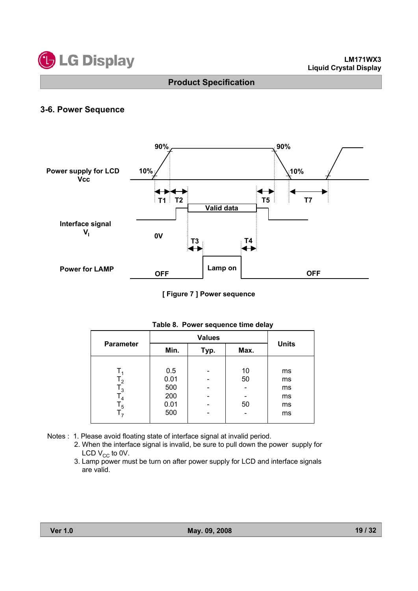

### **3-6. Power Sequence**



**[ Figure 7 ] Power sequence**

| <b>Parameter</b> | Min. | Typ. | Max. | <b>Units</b> |
|------------------|------|------|------|--------------|
|                  |      |      |      |              |
|                  | 0.5  |      | 10   | ms           |
| $\mathsf{T}_2$   | 0.01 |      | 50   | ms           |
| $T_3$            | 500  |      |      | ms           |
| T <sub>4</sub>   | 200  |      |      | ms           |
| $\mathsf{T}_5$   | 0.01 |      | 50   | ms           |
| т,               | 500  |      |      | ms           |

#### **Table 8. Power sequence time delay**

- Notes : 1. Please avoid floating state of interface signal at invalid period.
	- 2. When the interface signal is invalid, be sure to pull down the power supply for LCD  $V_{CC}$  to 0V.
	- 3. Lamp power must be turn on after power supply for LCD and interface signals are valid.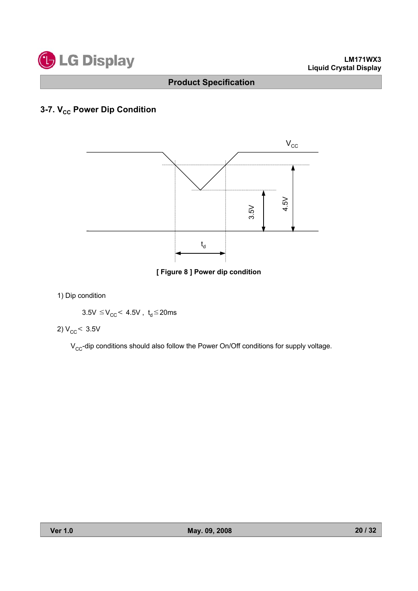

# **3-7. V<sub>cc</sub> Power Dip Condition**



**[ Figure 8 ] Power dip condition**

1) Dip condition

 $3.5V \leq V_{CC}$  < 4.5V, t<sub>d</sub>  $\leq$  20ms

2)  $V_{CC}$  < 3.5V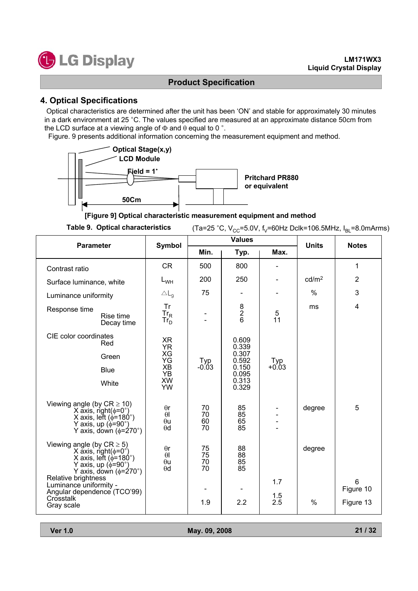

## **4. Optical Specifications**

Optical characteristics are determined after the unit has been 'ON' and stable for approximately 30 minutes in a dark environment at 25 °C. The values specified are measured at an approximate distance 50cm from the LCD surface at a viewing angle of  $\Phi$  and  $\theta$  equal to 0  $\degree$ .

Figure. 9 presents additional information concerning the measurement equipment and method.



**[Figure 9] Optical characteristic measurement equipment and method**

Table 9. Optical characteristics  $(Ta=25 °C, V_{CC}=5.0 V, f_V=60 Hz \text{ Dclk}=106.5 MHz, I<sub>BI</sub>=8.0 mArms)$ 

| <b>Parameter</b>                                                                                                                                                                                                                                                               | Symbol                                                                       |                             | <b>Values</b>                                                        | <b>Units</b>      | <b>Notes</b>            |                             |
|--------------------------------------------------------------------------------------------------------------------------------------------------------------------------------------------------------------------------------------------------------------------------------|------------------------------------------------------------------------------|-----------------------------|----------------------------------------------------------------------|-------------------|-------------------------|-----------------------------|
|                                                                                                                                                                                                                                                                                |                                                                              | Min.                        | Typ.                                                                 | Max.              |                         |                             |
| Contrast ratio                                                                                                                                                                                                                                                                 | <b>CR</b>                                                                    | 500                         | 800                                                                  |                   |                         | 1                           |
| Surface luminance, white                                                                                                                                                                                                                                                       | $L_{WH}$                                                                     | 200                         | 250                                                                  |                   | cd/m <sup>2</sup>       | $\overline{2}$              |
| Luminance uniformity                                                                                                                                                                                                                                                           | $\triangle$ L <sub>q</sub>                                                   | 75                          |                                                                      |                   | $\%$                    | 3                           |
| Response time<br>Rise time<br>Decay time                                                                                                                                                                                                                                       | Tr<br>$\overline{\text{Tr}}_{\text{R}}$<br>$\overline{\text{Tr}}_{\text{D}}$ |                             | $\begin{array}{c}\n8 \\ 2 \\ 6\n\end{array}$                         | 5<br>11           | ms                      | $\overline{4}$              |
| CIE color coordinates<br>Red<br>Green<br><b>Blue</b><br>White                                                                                                                                                                                                                  | XR<br><b>YR</b><br>XG<br>YG<br>XB<br><b>YB</b><br><b>XW</b><br><b>YW</b>     | Typ<br>$-0.03$              | 0.609<br>0.339<br>0.307<br>0.592<br>0.150<br>0.095<br>0.313<br>0.329 | $Typ + 0.03$      |                         |                             |
| Viewing angle (by $CR \ge 10$ )<br>X axis, right( $\phi$ =0°)<br>X axis, left ( $\phi$ =180°)<br>Y axis, up $(\phi = 90^\circ)$<br>Y axis, down ( $\phi$ =270°)                                                                                                                | $\theta$ r<br>$\theta$<br>$\theta$ u<br>$\theta$ d                           | 70<br>70<br>60<br>70        | 85<br>85<br>65<br>85                                                 |                   | degree                  | 5                           |
| Viewing angle (by $CR \ge 5$ )<br>X axis, right( $\phi$ =0°)<br>X axis, left ( $\phi$ =180°)<br>Y axis, up $(\phi = 90^\circ)$<br>Y axis, down $(\phi = 270^\circ)$<br>Relative brightness<br>Luminance uniformity -<br>Angular dependence (TCO'99)<br>Crosstalk<br>Gray scale | $\theta$ r<br>$\theta$ l<br>$\theta$ u<br>$\theta$ d                         | 75<br>75<br>70<br>70<br>1.9 | 88<br>$\frac{88}{85}$<br>85<br>2.2                                   | 1.7<br>1.5<br>2.5 | degree<br>$\frac{0}{0}$ | 6<br>Figure 10<br>Figure 13 |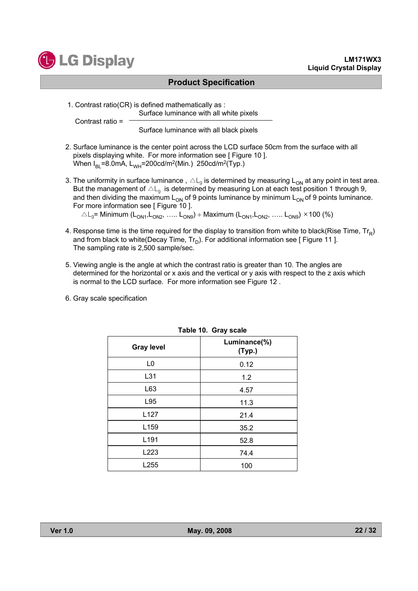

Contrast ratio =

### **Product Specification**

1. Contrast ratio(CR) is defined mathematically as :

Surface luminance with all white pixels

Surface luminance with all black pixels

- 2. Surface luminance is the center point across the LCD surface 50cm from the surface with all pixels displaying white. For more information see [ Figure 10 ]. When  $I_{BI}$ =8.0mA,  $L_{WH}$ =200cd/m<sup>2</sup>(Min.) 250cd/m<sup>2</sup>(Typ.)
- 3. The uniformity in surface luminance,  $\Delta L_g$  is determined by measuring  $L_{ON}$  at any point in test area. But the management of  $\triangle\mathsf{L}_{q}$  is determined by measuring Lon at each test position 1 through 9, and then dividing the maximum  $L_{ON}$  of 9 points luminance by minimum  $L_{ON}$  of 9 points luminance. For more information see [ Figure 10 ].

 $\Delta L_q$ = Minimum (L<sub>ON1</sub>,L<sub>ON2</sub>, ….. L<sub>ON9</sub>) ÷ Maximum (L<sub>ON1</sub>,L<sub>ON2</sub>, ….. L<sub>ON9</sub>) × 100 (%)

- 4. Response time is the time required for the display to transition from white to black(Rise Time,  $Tr_{\rm p}$ ) and from black to white(Decay Time,  $Tr_D$ ). For additional information see [ Figure 11 ]. The sampling rate is 2,500 sample/sec.
- 5. Viewing angle is the angle at which the contrast ratio is greater than 10. The angles are determined for the horizontal or x axis and the vertical or y axis with respect to the z axis which is normal to the LCD surface. For more information see Figure 12 .
- 6. Gray scale specification

|                   | -----                  |
|-------------------|------------------------|
| <b>Gray level</b> | Luminance(%)<br>(Typ.) |
| L <sub>0</sub>    | 0.12                   |
| L31               | 1.2                    |
| L63               | 4.57                   |
| L95               | 11.3                   |
| L127              | 21.4                   |
| L159              | 35.2                   |
| L191              | 52.8                   |
| L223              | 74.4                   |
| L255              | 100                    |

**Table 10. Gray scale**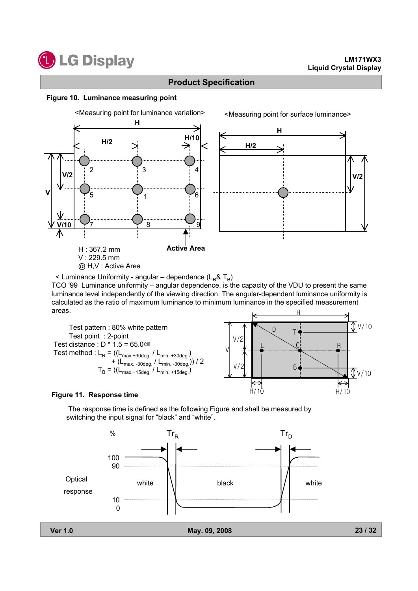

### **Figure 10. Luminance measuring point**



 $\leq$  Luminance Uniformity - angular – dependence (L<sub>R</sub>& T<sub>R</sub>)

TCO '99 Luminance uniformity – angular dependence, is the capacity of the VDU to present the same luminance level independently of the viewing direction. The angular-dependent luminance uniformity is calculated as the ratio of maximum luminance to minimum luminance in the specified measurement areas.  $\overline{H}$ 



### **Figure 11. Response time**

The response time is defined as the following Figure and shall be measured by switching the input signal for "black" and "white".

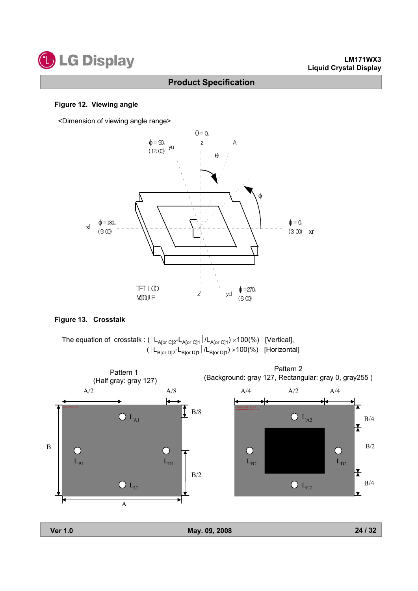

### **Figure 12. Viewing angle**

<Dimension of viewing angle range>



### **Figure 13. Crosstalk**

The equation of  $\,$ crosstalk : ( $\,$ l $\,$ L $_{\rm A[or\, C]2}$ - $\,$ L $_{\rm A[or\, C]1}\,$ / $\,$ L $_{\rm A[or\, C]1})$   $\times$ 100(%)  $\,$  [Vertical], ( | L<sub>B[or D]2</sub>-L<sub>B[or D]1</sub> | /L<sub>B[or D]1</sub>) ×100(%) [Horizontal]

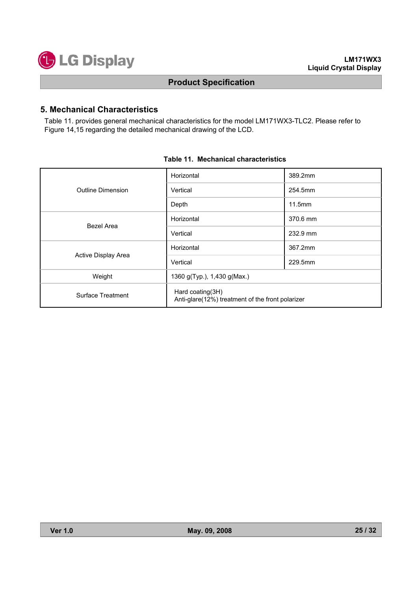

### **5. Mechanical Characteristics**

Table 11. provides general mechanical characteristics for the model LM171WX3-TLC2. Please refer to Figure 14,15 regarding the detailed mechanical drawing of the LCD.

|                     | Horizontal                                                           | 389.2mm  |  |  |  |
|---------------------|----------------------------------------------------------------------|----------|--|--|--|
| Outline Dimension   | Vertical                                                             | 254.5mm  |  |  |  |
|                     | Depth                                                                | 11.5mm   |  |  |  |
| Bezel Area          | Horizontal                                                           | 370.6 mm |  |  |  |
|                     | Vertical                                                             | 232.9 mm |  |  |  |
|                     | Horizontal                                                           | 367.2mm  |  |  |  |
| Active Display Area | Vertical                                                             | 229.5mm  |  |  |  |
| Weight              | 1360 g(Typ.), 1,430 g(Max.)                                          |          |  |  |  |
| Surface Treatment   | Hard coating(3H)<br>Anti-glare(12%) treatment of the front polarizer |          |  |  |  |

### **Table 11. Mechanical characteristics**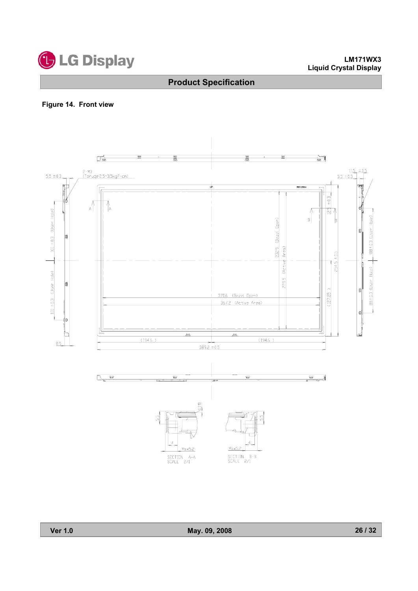

## **Figure 14. Front view**

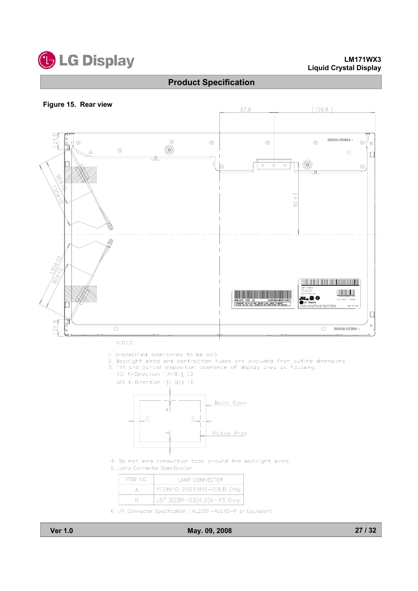

#### **Figure 15. Rear view**



NOTES

- 1. Unspecified tolerances to be ±0.5
- 2. Backlight wires and contraction tubes are excluded from outline dimensions.
- 3. Tilt and partial disposition tolerance of display area as following.
	- $(1)$  Y-Direction :  $|A-B| < 1.0$





- 4. Do not wind conductive tape around the backlight wires.
- 5. Lamp Connector Specification.

| ITEM NO. | <b>LAMP CONNECTOR</b>                   |
|----------|-----------------------------------------|
|          | $\frac{1}{2}$ YEONHO 20015HS-03LB Only. |
|          | JST BDBR-03(4.0)V-1S Only.              |

6. I/F Connector Specification : AL230F-ALG1D-P or Equivalent.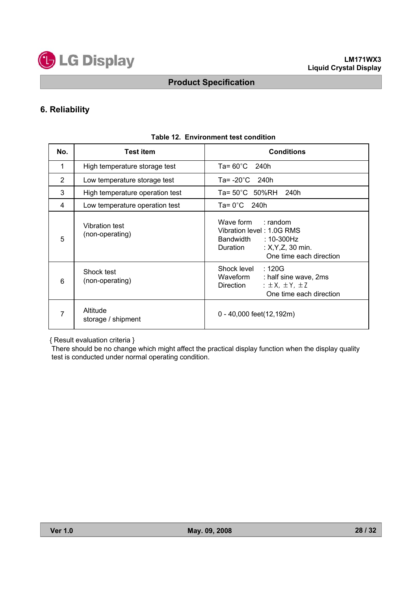

## **6. Reliability**

| No.            | <b>Test</b> item                  | <b>Conditions</b>                                                                                                                         |
|----------------|-----------------------------------|-------------------------------------------------------------------------------------------------------------------------------------------|
| 1              | High temperature storage test     | $Ta = 60^{\circ}C$ 240h                                                                                                                   |
| $\overline{2}$ | Low temperature storage test      | Ta= $-20^{\circ}$ C 240h                                                                                                                  |
| 3              | High temperature operation test   | Ta= 50°C 50%RH 240h                                                                                                                       |
| 4              | Low temperature operation test    | $Ta = 0^{\circ}C$ 240h                                                                                                                    |
| 5              | Vibration test<br>(non-operating) | Wave form : random<br>Vibration level: 1.0G RMS<br>: 10-300Hz<br>Bandwidth<br>: $X, Y, Z, 30$ min.<br>Duration<br>One time each direction |
| 6              | Shock test<br>(non-operating)     | :120G<br>Shock level<br>Waveform<br>: half sine wave, 2ms<br>: $\pm$ X, $\pm$ Y, $\pm$ Z<br>Direction<br>One time each direction          |
| 7              | Altitude<br>storage / shipment    | 0 - 40,000 feet(12,192m)                                                                                                                  |

### **Table 12. Environment test condition**

{ Result evaluation criteria }

There should be no change which might affect the practical display function when the display quality test is conducted under normal operating condition.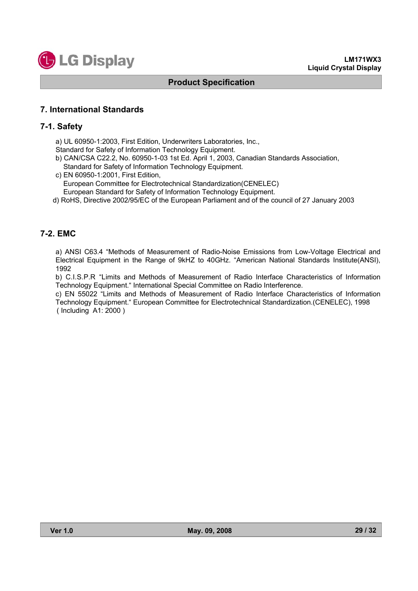

### **7. International Standards**

### **7-1. Safety**

a) UL 60950-1:2003, First Edition, Underwriters Laboratories, Inc.,

Standard for Safety of Information Technology Equipment.

b) CAN/CSA C22.2, No. 60950-1-03 1st Ed. April 1, 2003, Canadian Standards Association, Standard for Safety of Information Technology Equipment.

c) EN 60950-1:2001, First Edition, European Committee for Electrotechnical Standardization(CENELEC) European Standard for Safety of Information Technology Equipment.

d) RoHS, Directive 2002/95/EC of the European Parliament and of the council of 27 January 2003

### **7-2. EMC**

a) ANSI C63.4 "Methods of Measurement of Radio-Noise Emissions from Low-Voltage Electrical and Electrical Equipment in the Range of 9kHZ to 40GHz. "American National Standards Institute(ANSI), 1992

b) C.I.S.P.R "Limits and Methods of Measurement of Radio Interface Characteristics of Information Technology Equipment." International Special Committee on Radio Interference.

c) EN 55022 "Limits and Methods of Measurement of Radio Interface Characteristics of Information Technology Equipment." European Committee for Electrotechnical Standardization.(CENELEC), 1998 ( Including A1: 2000 )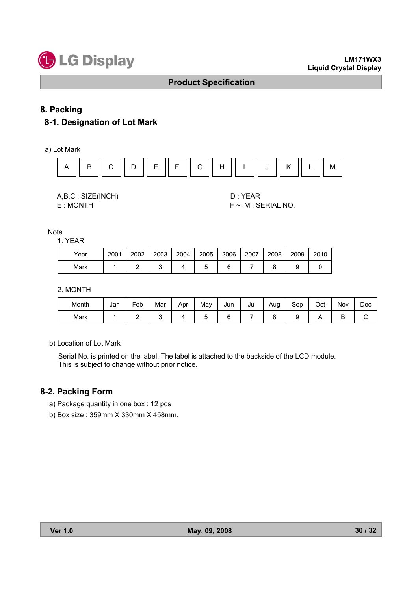

### **8. Packing**

# **8-1. Designation of Lot Mark**

a) Lot Mark



A,B,C : SIZE(INCH) D : YEAR

E : MONTH F ~ M : SERIAL NO.

**Note** 

1. YEAR

| Year | 2001 | 2002 | 2003 | 2004 | 2005 | 2006 | 2007 | 2008 | 2009 | 2010 |
|------|------|------|------|------|------|------|------|------|------|------|
| Mark |      |      |      |      |      |      |      |      |      |      |

### 2. MONTH

| Month | Jan | Feb | Mar | Apr | Mav | Jun | Jul | Aug | Sep | Oct | Nov | Dec |
|-------|-----|-----|-----|-----|-----|-----|-----|-----|-----|-----|-----|-----|
| Mark  |     | -   |     |     |     |     |     |     |     |     | ◡   | ∼   |

b) Location of Lot Mark

Serial No. is printed on the label. The label is attached to the backside of the LCD module. This is subject to change without prior notice.

### **8-2. Packing Form**

- a) Package quantity in one box : 12 pcs
- b) Box size : 359mm X 330mm X 458mm.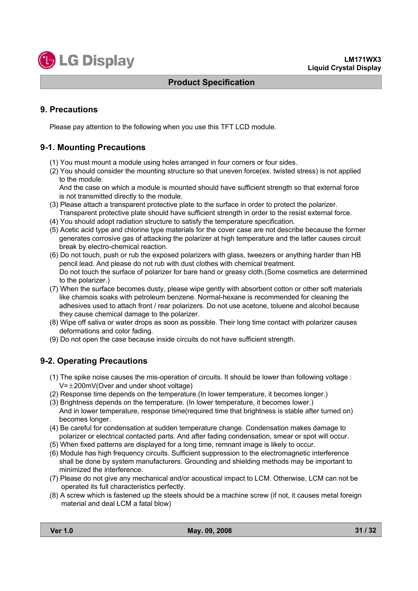

### **9. Precautions**

Please pay attention to the following when you use this TFT LCD module.

### **9-1. Mounting Precautions**

- (1) You must mount a module using holes arranged in four corners or four sides.
- (2) You should consider the mounting structure so that uneven force(ex. twisted stress) is not applied to the module.

And the case on which a module is mounted should have sufficient strength so that external force is not transmitted directly to the module.

- (3) Please attach a transparent protective plate to the surface in order to protect the polarizer. Transparent protective plate should have sufficient strength in order to the resist external force.
- (4) You should adopt radiation structure to satisfy the temperature specification.
- (5) Acetic acid type and chlorine type materials for the cover case are not describe because the former generates corrosive gas of attacking the polarizer at high temperature and the latter causes circuit break by electro-chemical reaction.
- (6) Do not touch, push or rub the exposed polarizers with glass, tweezers or anything harder than HB pencil lead. And please do not rub with dust clothes with chemical treatment. Do not touch the surface of polarizer for bare hand or greasy cloth.(Some cosmetics are determined to the polarizer.)
- (7) When the surface becomes dusty, please wipe gently with absorbent cotton or other soft materials like chamois soaks with petroleum benzene. Normal-hexane is recommended for cleaning the adhesives used to attach front / rear polarizers. Do not use acetone, toluene and alcohol because they cause chemical damage to the polarizer.
- (8) Wipe off saliva or water drops as soon as possible. Their long time contact with polarizer causes deformations and color fading.
- (9) Do not open the case because inside circuits do not have sufficient strength.

### **9-2. Operating Precautions**

- (1) The spike noise causes the mis-operation of circuits. It should be lower than following voltage :  $V=\pm 200$ mV(Over and under shoot voltage)
- (2) Response time depends on the temperature.(In lower temperature, it becomes longer.)
- (3) Brightness depends on the temperature. (In lower temperature, it becomes lower.) And in lower temperature, response time(required time that brightness is stable after turned on) becomes longer.
- (4) Be careful for condensation at sudden temperature change. Condensation makes damage to polarizer or electrical contacted parts. And after fading condensation, smear or spot will occur.
- (5) When fixed patterns are displayed for a long time, remnant image is likely to occur.
- (6) Module has high frequency circuits. Sufficient suppression to the electromagnetic interference shall be done by system manufacturers. Grounding and shielding methods may be important to minimized the interference.
- (7) Please do not give any mechanical and/or acoustical impact to LCM. Otherwise, LCM can not be operated its full characteristics perfectly.
- (8) A screw which is fastened up the steels should be a machine screw (if not, it causes metal foreign material and deal LCM a fatal blow)